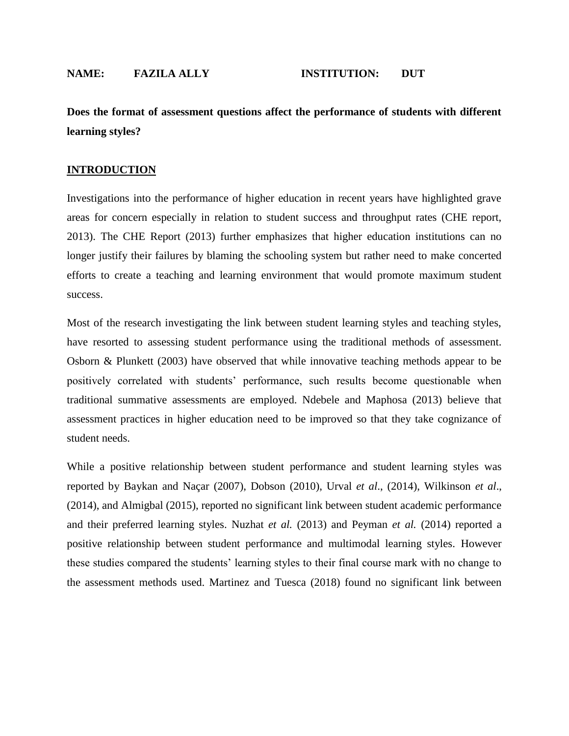**Does the format of assessment questions affect the performance of students with different learning styles?**

### **INTRODUCTION**

Investigations into the performance of higher education in recent years have highlighted grave areas for concern especially in relation to student success and throughput rates (CHE report, 2013). The CHE Report (2013) further emphasizes that higher education institutions can no longer justify their failures by blaming the schooling system but rather need to make concerted efforts to create a teaching and learning environment that would promote maximum student success.

Most of the research investigating the link between student learning styles and teaching styles, have resorted to assessing student performance using the traditional methods of assessment. Osborn & Plunkett (2003) have observed that while innovative teaching methods appear to be positively correlated with students' performance, such results become questionable when traditional summative assessments are employed. Ndebele and Maphosa (2013) believe that assessment practices in higher education need to be improved so that they take cognizance of student needs.

While a positive relationship between student performance and student learning styles was reported by Baykan and Naçar (2007), Dobson (2010), Urval *et al*., (2014), Wilkinson *et al*., (2014), and Almigbal (2015), reported no significant link between student academic performance and their preferred learning styles. Nuzhat *et al.* (2013) and Peyman *et al.* (2014) reported a positive relationship between student performance and multimodal learning styles. However these studies compared the students' learning styles to their final course mark with no change to the assessment methods used. Martinez and Tuesca (2018) found no significant link between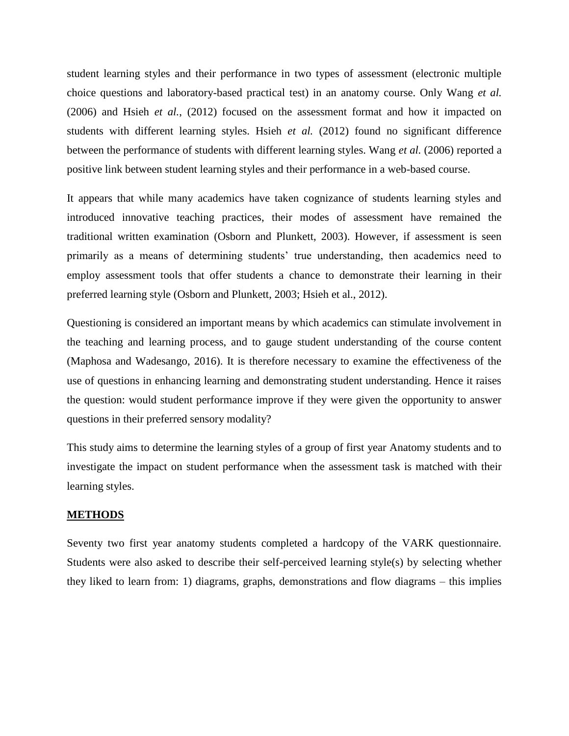student learning styles and their performance in two types of assessment (electronic multiple choice questions and laboratory-based practical test) in an anatomy course. Only Wang *et al.* (2006) and Hsieh *et al.*, (2012) focused on the assessment format and how it impacted on students with different learning styles. Hsieh *et al.* (2012) found no significant difference between the performance of students with different learning styles. Wang *et al.* (2006) reported a positive link between student learning styles and their performance in a web-based course.

It appears that while many academics have taken cognizance of students learning styles and introduced innovative teaching practices, their modes of assessment have remained the traditional written examination (Osborn and Plunkett, 2003). However, if assessment is seen primarily as a means of determining students' true understanding, then academics need to employ assessment tools that offer students a chance to demonstrate their learning in their preferred learning style (Osborn and Plunkett, 2003; Hsieh et al., 2012).

Questioning is considered an important means by which academics can stimulate involvement in the teaching and learning process, and to gauge student understanding of the course content (Maphosa and Wadesango, 2016). It is therefore necessary to examine the effectiveness of the use of questions in enhancing learning and demonstrating student understanding. Hence it raises the question: would student performance improve if they were given the opportunity to answer questions in their preferred sensory modality?

This study aims to determine the learning styles of a group of first year Anatomy students and to investigate the impact on student performance when the assessment task is matched with their learning styles.

#### **METHODS**

Seventy two first year anatomy students completed a hardcopy of the VARK questionnaire. Students were also asked to describe their self-perceived learning style(s) by selecting whether they liked to learn from: 1) diagrams, graphs, demonstrations and flow diagrams – this implies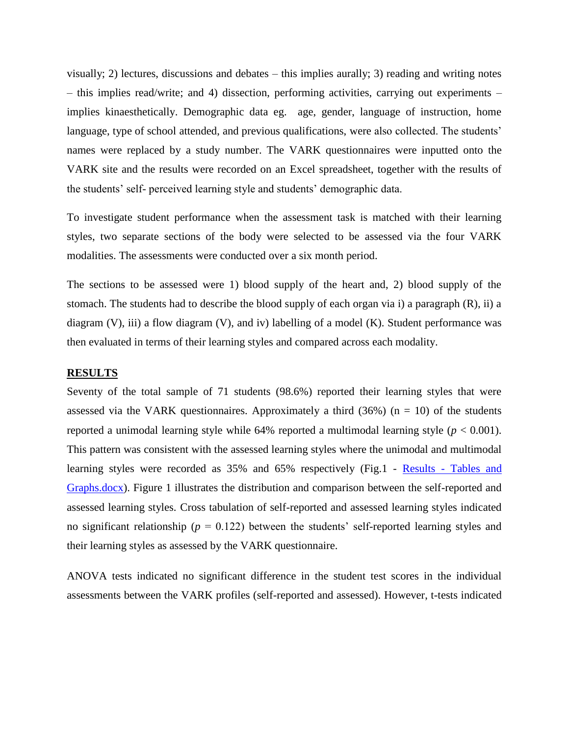visually; 2) lectures, discussions and debates – this implies aurally; 3) reading and writing notes – this implies read/write; and 4) dissection, performing activities, carrying out experiments – implies kinaesthetically. Demographic data eg. age, gender, language of instruction, home language, type of school attended, and previous qualifications, were also collected. The students' names were replaced by a study number. The VARK questionnaires were inputted onto the VARK site and the results were recorded on an Excel spreadsheet, together with the results of the students' self- perceived learning style and students' demographic data.

To investigate student performance when the assessment task is matched with their learning styles, two separate sections of the body were selected to be assessed via the four VARK modalities. The assessments were conducted over a six month period.

The sections to be assessed were 1) blood supply of the heart and, 2) blood supply of the stomach. The students had to describe the blood supply of each organ via i) a paragraph (R), ii) a diagram  $(V)$ , iii) a flow diagram  $(V)$ , and iv) labelling of a model  $(K)$ . Student performance was then evaluated in terms of their learning styles and compared across each modality.

#### **RESULTS**

Seventy of the total sample of 71 students (98.6%) reported their learning styles that were assessed via the VARK questionnaires. Approximately a third (36%) ( $n = 10$ ) of the students reported a unimodal learning style while 64% reported a multimodal learning style (*p* < 0.001). This pattern was consistent with the assessed learning styles where the unimodal and multimodal learning styles were recorded as 35% and 65% respectively (Fig.1 - Results - [Tables and](file:///C:/Users/fuzzy/Desktop/Fuzzy%20Report/Results%20-%20Tables%20and%20Graphs.docx)  [Graphs.docx\)](file:///C:/Users/fuzzy/Desktop/Fuzzy%20Report/Results%20-%20Tables%20and%20Graphs.docx). Figure 1 illustrates the distribution and comparison between the self-reported and assessed learning styles. Cross tabulation of self-reported and assessed learning styles indicated no significant relationship ( $p = 0.122$ ) between the students' self-reported learning styles and their learning styles as assessed by the VARK questionnaire.

ANOVA tests indicated no significant difference in the student test scores in the individual assessments between the VARK profiles (self-reported and assessed). However, t-tests indicated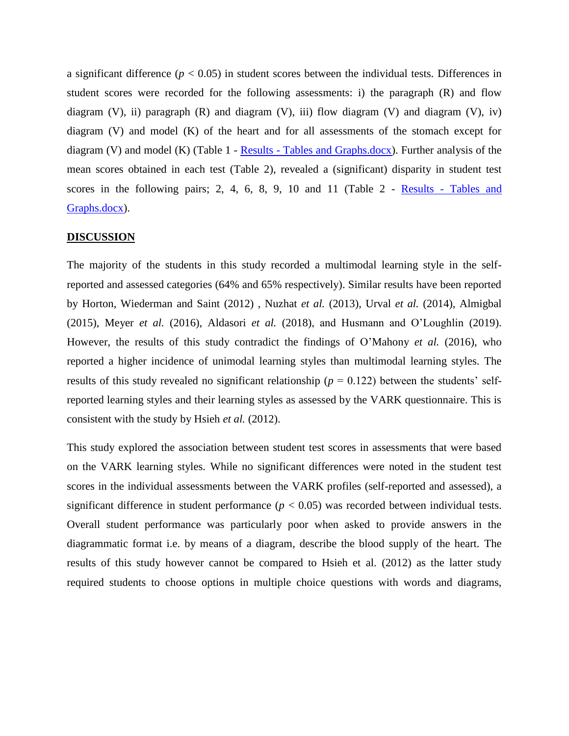a significant difference  $(p < 0.05)$  in student scores between the individual tests. Differences in student scores were recorded for the following assessments: i) the paragraph (R) and flow diagram (V), ii) paragraph  $(R)$  and diagram  $(V)$ , iii) flow diagram  $(V)$  and diagram  $(V)$ , iv) diagram (V) and model (K) of the heart and for all assessments of the stomach except for diagram (V) and model (K) (Table 1 - Results - [Tables and Graphs.docx\)](file:///C:/Users/fuzzy/Desktop/Fuzzy%20Report/Results%20-%20Tables%20and%20Graphs.docx). Further analysis of the mean scores obtained in each test (Table 2), revealed a (significant) disparity in student test scores in the following pairs; 2, 4, 6, 8, 9, 10 and 11 (Table 2 - Results - [Tables and](file:///C:/Users/fuzzy/Desktop/Fuzzy%20Report/Results%20-%20Tables%20and%20Graphs.docx)  [Graphs.docx\)](file:///C:/Users/fuzzy/Desktop/Fuzzy%20Report/Results%20-%20Tables%20and%20Graphs.docx).

### **DISCUSSION**

The majority of the students in this study recorded a multimodal learning style in the selfreported and assessed categories (64% and 65% respectively). Similar results have been reported by Horton, Wiederman and Saint (2012) , Nuzhat *et al.* (2013), Urval *et al.* (2014), Almigbal (2015), Meyer *et al.* (2016), Aldasori *et al.* (2018), and Husmann and O'Loughlin (2019). However, the results of this study contradict the findings of O'Mahony *et al.* (2016), who reported a higher incidence of unimodal learning styles than multimodal learning styles. The results of this study revealed no significant relationship ( $p = 0.122$ ) between the students' selfreported learning styles and their learning styles as assessed by the VARK questionnaire. This is consistent with the study by Hsieh *et al.* (2012).

This study explored the association between student test scores in assessments that were based on the VARK learning styles. While no significant differences were noted in the student test scores in the individual assessments between the VARK profiles (self-reported and assessed), a significant difference in student performance  $(p < 0.05)$  was recorded between individual tests. Overall student performance was particularly poor when asked to provide answers in the diagrammatic format i.e. by means of a diagram, describe the blood supply of the heart. The results of this study however cannot be compared to Hsieh et al. (2012) as the latter study required students to choose options in multiple choice questions with words and diagrams,